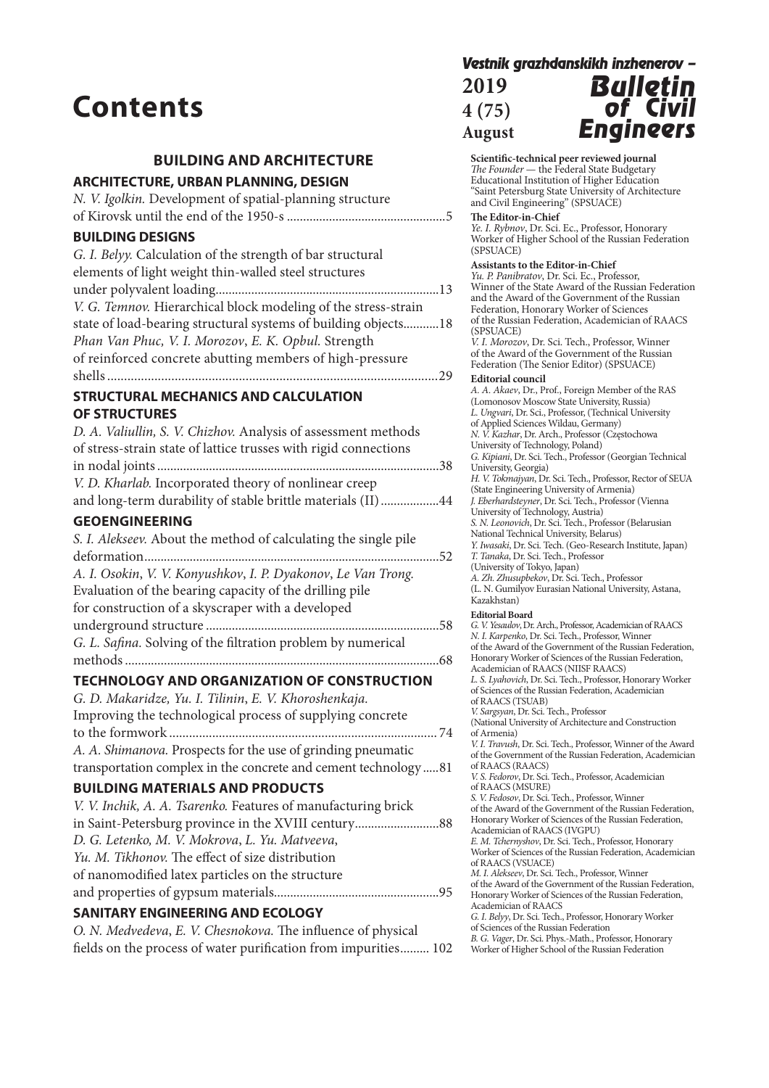# **Contents**

## **BUILDING AND ARCHITECTURE**

### **ARCHITECTURE, URBAN PLANNING, DESIGN**

|  | N. V. Igolkin. Development of spatial-planning structure |  |
|--|----------------------------------------------------------|--|
|  |                                                          |  |

## **BUILDING DESIGNS**

| G. I. Belyy. Calculation of the strength of bar structural     |  |
|----------------------------------------------------------------|--|
| elements of light weight thin-walled steel structures          |  |
|                                                                |  |
| V. G. Temnov. Hierarchical block modeling of the stress-strain |  |
| state of load-bearing structural systems of building objects18 |  |
| Phan Van Phuc, V. I. Morozov, E. K. Opbul. Strength            |  |
| of reinforced concrete abutting members of high-pressure       |  |
|                                                                |  |
|                                                                |  |

#### **STRUCTURAL MECHANICS AND CALCULATION OF STRUCTURES**

| D. A. Valiullin, S. V. Chizhov. Analysis of assessment methods   |  |
|------------------------------------------------------------------|--|
| of stress-strain state of lattice trusses with rigid connections |  |
|                                                                  |  |
| V. D. Kharlab. Incorporated theory of nonlinear creep            |  |
| and long-term durability of stable brittle materials (II)44      |  |

## **GEOENGINEERING**

| S. I. Alekseev. About the method of calculating the single pile |     |
|-----------------------------------------------------------------|-----|
|                                                                 |     |
| A. I. Osokin, V. V. Konyushkov, I. P. Dyakonov, Le Van Trong.   |     |
| Evaluation of the bearing capacity of the drilling pile         |     |
| for construction of a skyscraper with a developed               |     |
|                                                                 |     |
| G. L. Safina. Solving of the filtration problem by numerical    |     |
|                                                                 | .68 |

## **TECHNOLOGY AND ORGANIZATION OF CONSTRUCTION**

| G. D. Makaridze, Yu. I. Tilinin, E. V. Khoroshenkaja.            |
|------------------------------------------------------------------|
| Improving the technological process of supplying concrete        |
|                                                                  |
| A. A. Shimanova. Prospects for the use of grinding pneumatic     |
| transportation complex in the concrete and cement technology  81 |

## **BUILDING MATERIALS AND PRODUCTS**

| V. V. Inchik, A. A. Tsarenko. Features of manufacturing brick |  |
|---------------------------------------------------------------|--|
|                                                               |  |
| D. G. Letenko, M. V. Mokrova, L. Yu. Matveeva,                |  |
| Yu. M. Tikhonov. The effect of size distribution              |  |
| of nanomodified latex particles on the structure              |  |
|                                                               |  |
|                                                               |  |

## **SANITARY ENGINEERING AND ECOLOGY**

| O. N. Medvedeva, E. V. Chesnokova. The influence of physical    |  |
|-----------------------------------------------------------------|--|
| fields on the process of water purification from impurities 102 |  |

#### *Vestnik grazhdanskikh inzhenerov –*  $2010$

| ZU 19  |  |
|--------|--|
| 4 (75) |  |
| August |  |



**Scientific-technical peer reviewed journal** *The Founder* — the Federal State Budgetary Educational Institution of Higher Education "Saint Petersburg State University of Architecture and Civil Engineering" (SPSUACE)

#### **The Editor-in-Chief**

*Ye. I. Rybnov*, Dr. Sci. Ec., Professor, Honorary Worker of Higher School of the Russian Federation (SPSUACE)

#### **Assistants to the Editor-in-Chief**

*Yu. P. Panibratov*, Dr. Sci. Ec., Professor, Winner of the State Award of the Russian Federation and the Award of the Government of the Russian Federation, Honorary Worker of Sciences of the Russian Federation, Academician of RAACS (SPSUACE) *V. I. Morozov*, Dr. Sci. Tech., Professor, Winner

of the Award of the Government of the Russian Federation (The Senior Editor) (SPSUACE)

#### **Editorial council**

*A. A. Akaev*, Dr., Prof., Foreign Member of the RAS (Lomonosov Moscow State University, Russia) *L. Ungvari*, Dr. Sci., Professor, (Technical University of Applied Sciences Wildau, Germany) *N. V. Kazhar*, Dr. Arch., Professor (Częstochowa University of Technology, Poland) *G. Kipiani*, Dr. Sci. Tech., Professor (Georgian Technical University, Georgia) *H. V. Tokmajyan*, Dr. Sci. Tech., Professor, Rector of SEUA (State Engineering University of Armenia) *J. Eberhardsteyner*, Dr. Sci. Tech., Professor (Vienna University of Technology, Austria) *S. N. Leonovich*, Dr. Sci. Tech., Professor (Belarusian National Technical University, Belarus) *Y. Iwasaki*, Dr. Sci. Tech. (Geo-Research Institute, Japan) *T. Tanaka*, Dr. Sci. Tech., Professor (University of Tokyo, Japan) *A. Zh. Zhusupbekov*, Dr. Sci. Tech., Professor (L. N. Gumilyov Eurasian National University, Astana, Kazakhstan) **Editorial Board** *G. V. Yesaulov*, Dr. Arch., Professor, Academician of RAACS *N. I. Karpenko*, Dr. Sci. Tech., Professor, Winner of the Award of the Government of the Russian Federation, Honorary Worker of Sciences of the Russian Federation, Academician of RAACS (NIISF RAACS) *L. S. Lyahovich*, Dr. Sci. Tech., Professor, Honorary Worker of Sciences of the Russian Federation, Academician of RAACS (TSUAB) *V. Sargsyan*, Dr. Sci. Tech., Professor (National University of Architecture and Construction of Armenia) *V. I. Travush*, Dr. Sci. Tech., Professor, Winner of the Award of the Government of the Russian Federation, Academician of RAACS (RAACS) *V. S. Fedorov*, Dr. Sci. Tech., Professor, Academician of RAACS (MSURE) *S. V. Fedosov*, Dr. Sci. Tech., Professor, Winner of the Award of the Government of the Russian Federation, Honorary Worker of Sciences of the Russian Federation, Academician of RAACS (IVGPU) *E. M. Tchernyshоv*, Dr. Sci. Tech., Professor, Honorary Worker of Sciences of the Russian Federation, Academician of RAACS (VSUACE) *M. I. Alekseev*, Dr. Sci. Tech., Professor, Winner of the Award of the Government of the Russian Federation, Honorary Worker of Sciences of the Russian Federation, Academician of RAACS *G. I. Belyy*, Dr. Sci. Tech., Professor, Honorary Worker of Sciences of the Russian Federation *B. G. Vager*, Dr. Sci. Phys.-Math., Professor, Honorary

Worker of Higher School of the Russian Federation